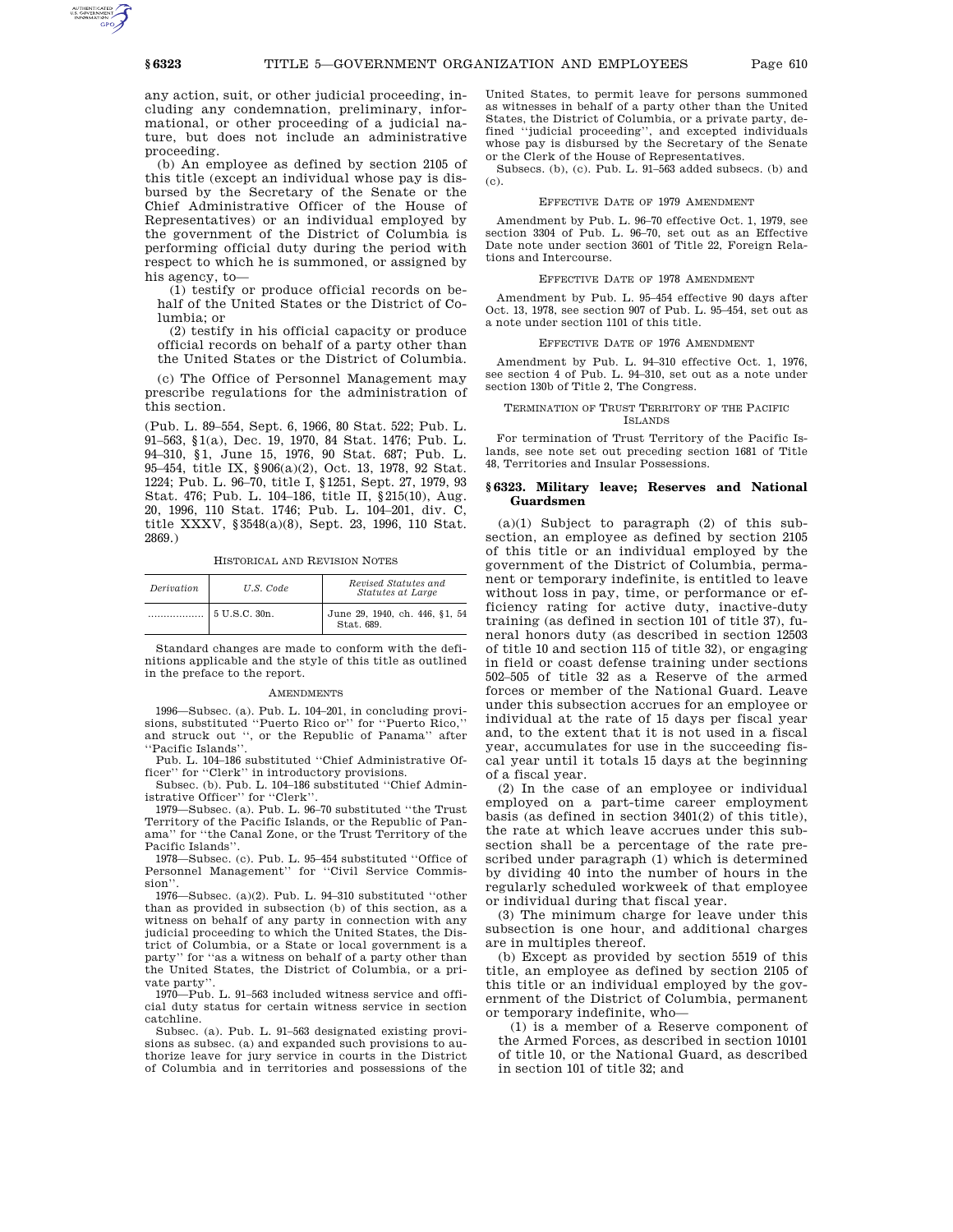any action, suit, or other judicial proceeding, including any condemnation, preliminary, informational, or other proceeding of a judicial nature, but does not include an administrative proceeding.

(b) An employee as defined by section 2105 of this title (except an individual whose pay is disbursed by the Secretary of the Senate or the Chief Administrative Officer of the House of Representatives) or an individual employed by the government of the District of Columbia is performing official duty during the period with respect to which he is summoned, or assigned by his agency, to—

(1) testify or produce official records on behalf of the United States or the District of Columbia; or

(2) testify in his official capacity or produce official records on behalf of a party other than the United States or the District of Columbia.

(c) The Office of Personnel Management may prescribe regulations for the administration of this section.

(Pub. L. 89–554, Sept. 6, 1966, 80 Stat. 522; Pub. L. 91–563, §1(a), Dec. 19, 1970, 84 Stat. 1476; Pub. L. 94–310, §1, June 15, 1976, 90 Stat. 687; Pub. L. 95–454, title IX, §906(a)(2), Oct. 13, 1978, 92 Stat. 1224; Pub. L. 96–70, title I, §1251, Sept. 27, 1979, 93 Stat. 476; Pub. L. 104–186, title II, §215(10), Aug. 20, 1996, 110 Stat. 1746; Pub. L. 104–201, div. C, title XXXV, §3548(a)(8), Sept. 23, 1996, 110 Stat. 2869.)

HISTORICAL AND REVISION NOTES

| Derivation | U.S. Code     | Revised Statutes and<br><i>Statutes at Large</i> |
|------------|---------------|--------------------------------------------------|
|            | 5 U.S.C. 30n. | June 29, 1940, ch. 446, §1, 54<br>Stat. 689.     |

Standard changes are made to conform with the definitions applicable and the style of this title as outlined in the preface to the report.

#### **AMENDMENTS**

1996—Subsec. (a). Pub. L. 104–201, in concluding provisions, substituted ''Puerto Rico or'' for ''Puerto Rico,'' and struck out '', or the Republic of Panama'' after ''Pacific Islands''.

Pub. L. 104–186 substituted ''Chief Administrative Officer'' for ''Clerk'' in introductory provisions.

Subsec. (b). Pub. L. 104–186 substituted ''Chief Administrative Officer'' for ''Clerk''.

1979—Subsec. (a). Pub. L. 96–70 substituted ''the Trust Territory of the Pacific Islands, or the Republic of Panama'' for ''the Canal Zone, or the Trust Territory of the Pacific Islands'

1978—Subsec. (c). Pub. L. 95–454 substituted ''Office of Personnel Management'' for ''Civil Service Commission'

1976—Subsec. (a)(2). Pub. L. 94–310 substituted ''other than as provided in subsection (b) of this section, as a witness on behalf of any party in connection with any judicial proceeding to which the United States, the District of Columbia, or a State or local government is a party'' for ''as a witness on behalf of a party other than the United States, the District of Columbia, or a private party''.

1970—Pub. L. 91–563 included witness service and official duty status for certain witness service in section catchline.

Subsec. (a). Pub. L. 91–563 designated existing provisions as subsec. (a) and expanded such provisions to authorize leave for jury service in courts in the District of Columbia and in territories and possessions of the

United States, to permit leave for persons summoned as witnesses in behalf of a party other than the United States, the District of Columbia, or a private party, defined ''judicial proceeding'', and excepted individuals whose pay is disbursed by the Secretary of the Senate or the Clerk of the House of Representatives.

Subsecs. (b), (c). Pub. L. 91–563 added subsecs. (b) and (c).

# EFFECTIVE DATE OF 1979 AMENDMENT

Amendment by Pub. L. 96–70 effective Oct. 1, 1979, see section 3304 of Pub. L. 96–70, set out as an Effective Date note under section 3601 of Title 22, Foreign Relations and Intercourse.

### EFFECTIVE DATE OF 1978 AMENDMENT

Amendment by Pub. L. 95–454 effective 90 days after Oct. 13, 1978, see section 907 of Pub. L. 95–454, set out as a note under section 1101 of this title.

### EFFECTIVE DATE OF 1976 AMENDMENT

Amendment by Pub. L. 94–310 effective Oct. 1, 1976, see section 4 of Pub. L. 94–310, set out as a note under section 130b of Title 2, The Congress.

### TERMINATION OF TRUST TERRITORY OF THE PACIFIC ISLANDS

For termination of Trust Territory of the Pacific Islands, see note set out preceding section 1681 of Title 48, Territories and Insular Possessions.

## **§ 6323. Military leave; Reserves and National Guardsmen**

(a)(1) Subject to paragraph (2) of this subsection, an employee as defined by section 2105 of this title or an individual employed by the government of the District of Columbia, permanent or temporary indefinite, is entitled to leave without loss in pay, time, or performance or efficiency rating for active duty, inactive-duty training (as defined in section 101 of title 37), funeral honors duty (as described in section 12503 of title 10 and section 115 of title 32), or engaging in field or coast defense training under sections 502–505 of title 32 as a Reserve of the armed forces or member of the National Guard. Leave under this subsection accrues for an employee or individual at the rate of 15 days per fiscal year and, to the extent that it is not used in a fiscal year, accumulates for use in the succeeding fiscal year until it totals 15 days at the beginning of a fiscal year.

(2) In the case of an employee or individual employed on a part-time career employment basis (as defined in section 3401(2) of this title), the rate at which leave accrues under this subsection shall be a percentage of the rate prescribed under paragraph (1) which is determined by dividing 40 into the number of hours in the regularly scheduled workweek of that employee or individual during that fiscal year.

(3) The minimum charge for leave under this subsection is one hour, and additional charges are in multiples thereof.

(b) Except as provided by section 5519 of this title, an employee as defined by section 2105 of this title or an individual employed by the government of the District of Columbia, permanent or temporary indefinite, who—

(1) is a member of a Reserve component of the Armed Forces, as described in section 10101 of title 10, or the National Guard, as described in section 101 of title 32; and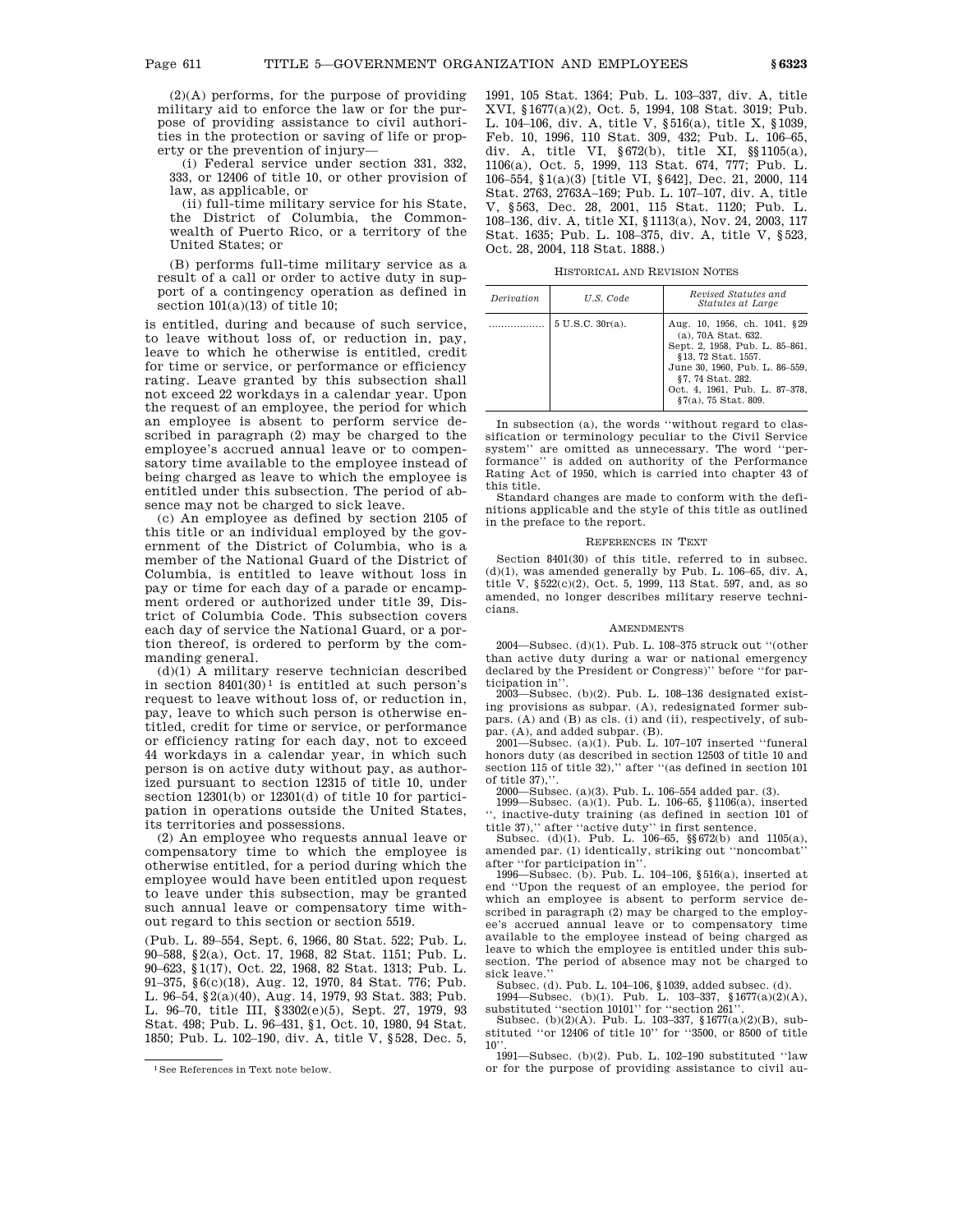$(2)(A)$  performs, for the purpose of providing military aid to enforce the law or for the purpose of providing assistance to civil authorities in the protection or saving of life or property or the prevention of injury—

(i) Federal service under section 331, 332, 333, or 12406 of title 10, or other provision of law, as applicable, or

(ii) full-time military service for his State, the District of Columbia, the Commonwealth of Puerto Rico, or a territory of the United States; or

(B) performs full-time military service as a result of a call or order to active duty in support of a contingency operation as defined in section  $101(a)(13)$  of title 10;

is entitled, during and because of such service, to leave without loss of, or reduction in, pay, leave to which he otherwise is entitled, credit for time or service, or performance or efficiency rating. Leave granted by this subsection shall not exceed 22 workdays in a calendar year. Upon the request of an employee, the period for which an employee is absent to perform service described in paragraph (2) may be charged to the employee's accrued annual leave or to compensatory time available to the employee instead of being charged as leave to which the employee is entitled under this subsection. The period of absence may not be charged to sick leave.

(c) An employee as defined by section 2105 of this title or an individual employed by the government of the District of Columbia, who is a member of the National Guard of the District of Columbia, is entitled to leave without loss in pay or time for each day of a parade or encampment ordered or authorized under title 39, District of Columbia Code. This subsection covers each day of service the National Guard, or a portion thereof, is ordered to perform by the commanding general.

(d)(1) A military reserve technician described in section  $8401(30)^1$  is entitled at such person's request to leave without loss of, or reduction in, pay, leave to which such person is otherwise entitled, credit for time or service, or performance or efficiency rating for each day, not to exceed 44 workdays in a calendar year, in which such person is on active duty without pay, as authorized pursuant to section 12315 of title 10, under section 12301(b) or 12301(d) of title 10 for participation in operations outside the United States, its territories and possessions.

(2) An employee who requests annual leave or compensatory time to which the employee is otherwise entitled, for a period during which the employee would have been entitled upon request to leave under this subsection, may be granted such annual leave or compensatory time without regard to this section or section 5519.

(Pub. L. 89–554, Sept. 6, 1966, 80 Stat. 522; Pub. L. 90–588, §2(a), Oct. 17, 1968, 82 Stat. 1151; Pub. L. 90–623, §1(17), Oct. 22, 1968, 82 Stat. 1313; Pub. L. 91–375, §6(c)(18), Aug. 12, 1970, 84 Stat. 776; Pub. L. 96–54, §2(a)(40), Aug. 14, 1979, 93 Stat. 383; Pub. L. 96–70, title III, §3302(e)(5), Sept. 27, 1979, 93 Stat. 498; Pub. L. 96–431, §1, Oct. 10, 1980, 94 Stat. 1850; Pub. L. 102–190, div. A, title V, §528, Dec. 5, 1991, 105 Stat. 1364; Pub. L. 103–337, div. A, title XVI, §1677(a)(2), Oct. 5, 1994, 108 Stat. 3019; Pub. L. 104–106, div. A, title V, §516(a), title X, §1039, Feb. 10, 1996, 110 Stat. 309, 432; Pub. L. 106–65, div. A, title VI, §672(b), title XI, §§1105(a), 1106(a), Oct. 5, 1999, 113 Stat. 674, 777; Pub. L. 106–554, §1(a)(3) [title VI, §642], Dec. 21, 2000, 114 Stat. 2763, 2763A–169; Pub. L. 107–107, div. A, title V, §563, Dec. 28, 2001, 115 Stat. 1120; Pub. L. 108–136, div. A, title XI, §1113(a), Nov. 24, 2003, 117 Stat. 1635; Pub. L. 108–375, div. A, title V, §523, Oct. 28, 2004, 118 Stat. 1888.)

HISTORICAL AND REVISION NOTES

| <i>Derivation</i> | U.S. Code           | Revised Statutes and<br><i>Statutes at Large</i>                                                                                                                                                                             |
|-------------------|---------------------|------------------------------------------------------------------------------------------------------------------------------------------------------------------------------------------------------------------------------|
|                   | $5 U.S.C. 30r(a)$ . | Aug. 10, 1956, ch. 1041, §29<br>(a), 70A Stat. 632.<br>Sept. 2, 1958, Pub. L. 85-861,<br>§13, 72 Stat. 1557.<br>June 30, 1960, Pub. L. 86-559,<br>§7, 74 Stat. 282.<br>Oct. 4, 1961, Pub. L. 87-378,<br>§7(a), 75 Stat. 809. |

In subsection (a), the words ''without regard to classification or terminology peculiar to the Civil Service system'' are omitted as unnecessary. The word ''performance'' is added on authority of the Performance Rating Act of 1950, which is carried into chapter 43 of this title.

Standard changes are made to conform with the definitions applicable and the style of this title as outlined in the preface to the report.

### REFERENCES IN TEXT

Section 8401(30) of this title, referred to in subsec.  $(d)(1)$ , was amended generally by Pub. L. 106–65, div. A, title V, §522(c)(2), Oct. 5, 1999, 113 Stat. 597, and, as so amended, no longer describes military reserve technicians.

### **AMENDMENTS**

2004—Subsec. (d)(1). Pub. L. 108–375 struck out ''(other than active duty during a war or national emergency declared by the President or Congress)'' before ''for participation in''.

2003—Subsec. (b)(2). Pub. L. 108–136 designated existing provisions as subpar. (A), redesignated former subpars. (A) and (B) as cls. (i) and (ii), respectively, of subpar. (A), and added subpar. (B).

2001—Subsec. (a)(1). Pub. L. 107–107 inserted ''funeral honors duty (as described in section 12503 of title 10 and section 115 of title 32)," after "(as defined in section 101 of title 37)."

2000—Subsec. (a)(3). Pub. L. 106–554 added par. (3). 1999—Subsec. (a)(1). Pub. L. 106–65, §1106(a), inserted '', inactive-duty training (as defined in section 101 of title 37),'' after ''active duty'' in first sentence.

Subsec. (d)(1). Pub. L. 106–65, §§672(b) and 1105(a), amended par. (1) identically, striking out ''noncombat'' after ''for participation in''.

1996—Subsec. (b). Pub. L. 104–106, §516(a), inserted at end ''Upon the request of an employee, the period for which an employee is absent to perform service described in paragraph (2) may be charged to the employee's accrued annual leave or to compensatory time available to the employee instead of being charged as leave to which the employee is entitled under this subsection. The period of absence may not be charged to sick leave.''

Subsec. (d). Pub. L. 104–106, §1039, added subsec. (d). 1994—Subsec. (b)(1). Pub. L. 103–337, §1677(a)(2)(A),

substituted ''section 10101'' for ''section 261''. Subsec. (b)(2)(A). Pub. L. 103–337, §1677(a)(2)(B), substituted ''or 12406 of title 10'' for ''3500, or 8500 of title  $10$ 

1991—Subsec. (b)(2). Pub. L. 102–190 substituted ''law or for the purpose of providing assistance to civil au-

<sup>1</sup>See References in Text note below.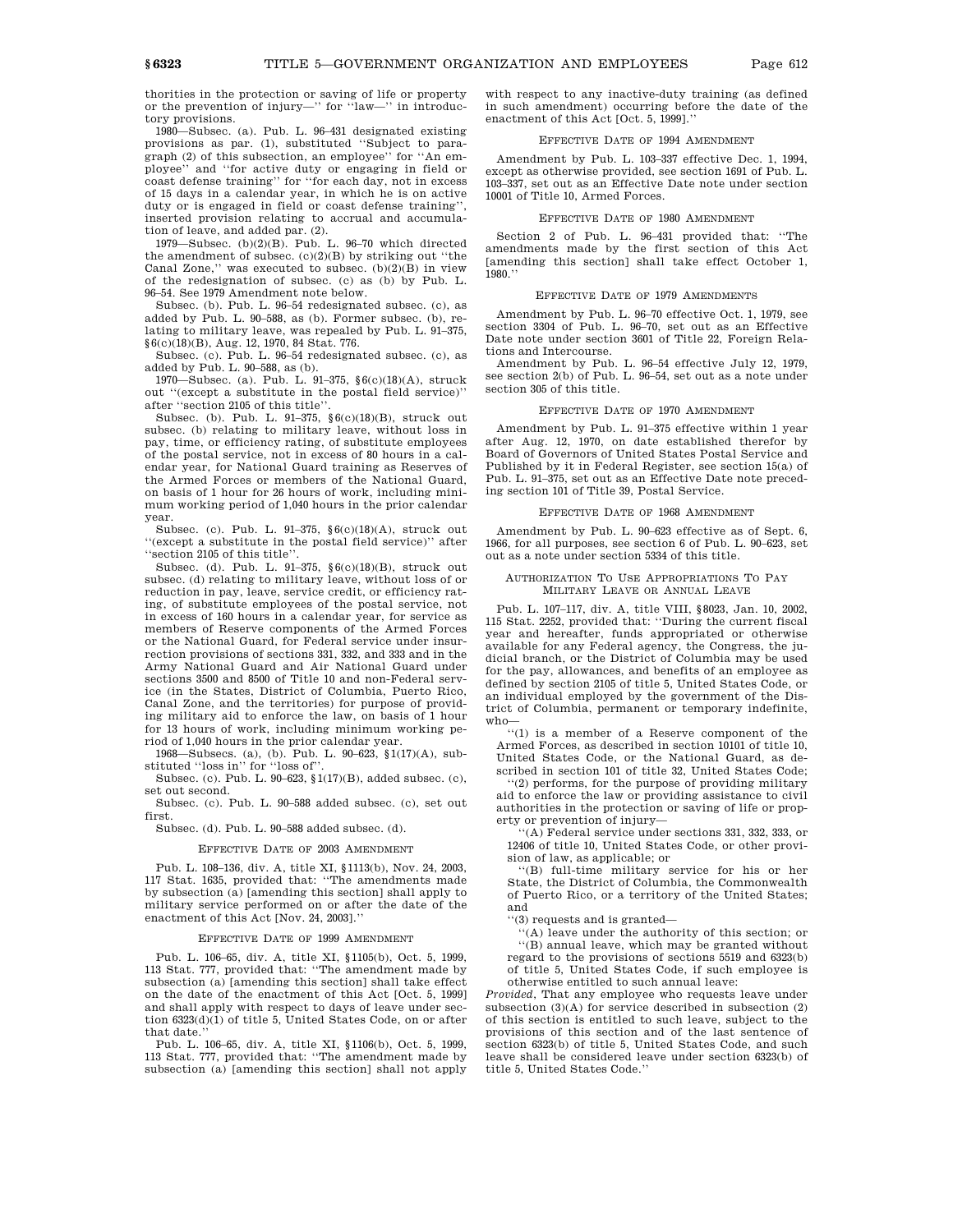thorities in the protection or saving of life or property or the prevention of injury—'' for ''law—'' in introductory provisions.

1980—Subsec. (a). Pub. L. 96–431 designated existing provisions as par. (1), substituted ''Subject to paragraph (2) of this subsection, an employee'' for ''An employee'' and ''for active duty or engaging in field or coast defense training'' for ''for each day, not in excess of 15 days in a calendar year, in which he is on active duty or is engaged in field or coast defense training'', inserted provision relating to accrual and accumulation of leave, and added par. (2).

1979—Subsec. (b)(2)(B). Pub. L. 96–70 which directed the amendment of subsec. (c)(2)(B) by striking out ''the Canal Zone," was executed to subsec.  $(b)(2)(\overline{B})$  in view of the redesignation of subsec. (c) as (b) by Pub. L. 96–54. See 1979 Amendment note below.

Subsec. (b). Pub. L. 96–54 redesignated subsec. (c), as added by Pub. L. 90–588, as (b). Former subsec. (b), relating to military leave, was repealed by Pub. L. 91–375, §6(c)(18)(B), Aug. 12, 1970, 84 Stat. 776.

Subsec. (c). Pub. L. 96–54 redesignated subsec. (c), as added by Pub. L. 90–588, as (b).

1970—Subsec. (a). Pub. L. 91–375, §6(c)(18)(A), struck out ''(except a substitute in the postal field service)'' after ''section 2105 of this title''.

Subsec. (b). Pub. L. 91–375, §6(c)(18)(B), struck out subsec. (b) relating to military leave, without loss in pay, time, or efficiency rating, of substitute employees of the postal service, not in excess of 80 hours in a calendar year, for National Guard training as Reserves of the Armed Forces or members of the National Guard, on basis of 1 hour for 26 hours of work, including minimum working period of 1,040 hours in the prior calendar year.

Subsec. (c). Pub. L. 91–375, §6(c)(18)(A), struck out ''(except a substitute in the postal field service)'' after ''section 2105 of this title''.

Subsec. (d). Pub. L. 91–375, §6(c)(18)(B), struck out subsec. (d) relating to military leave, without loss of or reduction in pay, leave, service credit, or efficiency rating, of substitute employees of the postal service, not in excess of 160 hours in a calendar year, for service as members of Reserve components of the Armed Forces or the National Guard, for Federal service under insurrection provisions of sections 331, 332, and 333 and in the Army National Guard and Air National Guard under sections 3500 and 8500 of Title 10 and non-Federal service (in the States, District of Columbia, Puerto Rico, Canal Zone, and the territories) for purpose of providing military aid to enforce the law, on basis of 1 hour for 13 hours of work, including minimum working period of 1,040 hours in the prior calendar year.

1968—Subsecs. (a), (b). Pub. L. 90–623, §1(17)(A), substituted ''loss in'' for ''loss of''.

Subsec. (c). Pub. L. 90–623, §1(17)(B), added subsec. (c), set out second.

Subsec. (c). Pub. L. 90–588 added subsec. (c), set out first.

Subsec. (d). Pub. L. 90–588 added subsec. (d).

## EFFECTIVE DATE OF 2003 AMENDMENT

Pub. L. 108–136, div. A, title XI, §1113(b), Nov. 24, 2003, 117 Stat. 1635, provided that: ''The amendments made by subsection (a) [amending this section] shall apply to military service performed on or after the date of the enactment of this Act [Nov. 24, 2003].''

## EFFECTIVE DATE OF 1999 AMENDMENT

Pub. L. 106–65, div. A, title XI, §1105(b), Oct. 5, 1999, 113 Stat. 777, provided that: ''The amendment made by subsection (a) [amending this section] shall take effect on the date of the enactment of this Act [Oct. 5, 1999] and shall apply with respect to days of leave under section 6323(d)(1) of title 5, United States Code, on or after that date.''

Pub. L. 106–65, div. A, title XI, §1106(b), Oct. 5, 1999, 113 Stat. 777, provided that: ''The amendment made by subsection (a) [amending this section] shall not apply with respect to any inactive-duty training (as defined in such amendment) occurring before the date of the enactment of this Act [Oct. 5, 1999].''

#### EFFECTIVE DATE OF 1994 AMENDMENT

Amendment by Pub. L. 103–337 effective Dec. 1, 1994, except as otherwise provided, see section 1691 of Pub. L. 103–337, set out as an Effective Date note under section 10001 of Title 10, Armed Forces.

### EFFECTIVE DATE OF 1980 AMENDMENT

Section 2 of Pub. L. 96–431 provided that: ''The amendments made by the first section of this Act [amending this section] shall take effect October 1, 1980.''

### EFFECTIVE DATE OF 1979 AMENDMENTS

Amendment by Pub. L. 96–70 effective Oct. 1, 1979, see section 3304 of Pub. L. 96–70, set out as an Effective Date note under section 3601 of Title 22, Foreign Relations and Intercourse.

Amendment by Pub. L. 96–54 effective July 12, 1979, see section 2(b) of Pub. L. 96–54, set out as a note under section 305 of this title.

## EFFECTIVE DATE OF 1970 AMENDMENT

Amendment by Pub. L. 91–375 effective within 1 year after Aug. 12, 1970, on date established therefor by Board of Governors of United States Postal Service and Published by it in Federal Register, see section 15(a) of Pub. L. 91–375, set out as an Effective Date note preceding section 101 of Title 39, Postal Service.

## EFFECTIVE DATE OF 1968 AMENDMENT

Amendment by Pub. L. 90–623 effective as of Sept. 6, 1966, for all purposes, see section 6 of Pub. L. 90–623, set out as a note under section 5334 of this title.

### AUTHORIZATION TO USE APPROPRIATIONS TO PAY MILITARY LEAVE OR ANNUAL LEAVE

Pub. L. 107–117, div. A, title VIII, §8023, Jan. 10, 2002, 115 Stat. 2252, provided that: ''During the current fiscal year and hereafter, funds appropriated or otherwise available for any Federal agency, the Congress, the judicial branch, or the District of Columbia may be used for the pay, allowances, and benefits of an employee as defined by section 2105 of title 5, United States Code, or an individual employed by the government of the District of Columbia, permanent or temporary indefinite, who—

''(1) is a member of a Reserve component of the Armed Forces, as described in section 10101 of title 10, United States Code, or the National Guard, as described in section 101 of title 32, United States Code;

''(2) performs, for the purpose of providing military aid to enforce the law or providing assistance to civil authorities in the protection or saving of life or property or prevention of injury—

''(A) Federal service under sections 331, 332, 333, or 12406 of title 10, United States Code, or other provision of law, as applicable; or

''(B) full-time military service for his or her State, the District of Columbia, the Commonwealth of Puerto Rico, or a territory of the United States; and

''(3) requests and is granted—

''(A) leave under the authority of this section; or ''(B) annual leave, which may be granted without regard to the provisions of sections 5519 and 6323(b) of title 5, United States Code, if such employee is otherwise entitled to such annual leave:

*Provided*, That any employee who requests leave under subsection (3)(A) for service described in subsection (2) of this section is entitled to such leave, subject to the provisions of this section and of the last sentence of section 6323(b) of title 5, United States Code, and such leave shall be considered leave under section 6323(b) of title 5, United States Code.''